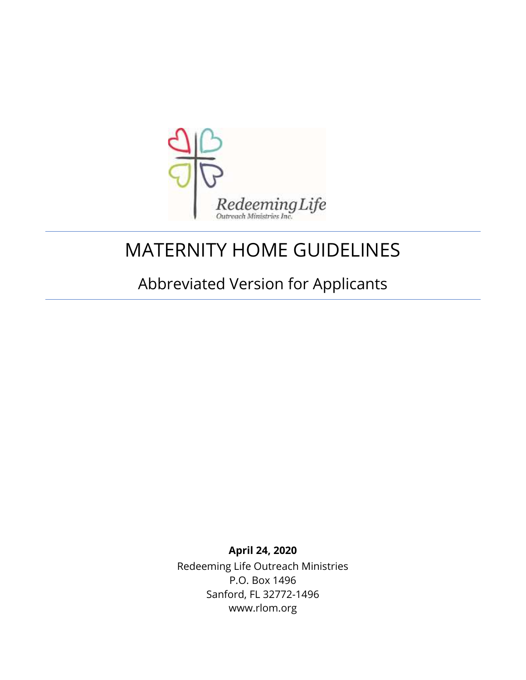

# MATERNITY HOME GUIDELINES

# Abbreviated Version for Applicants

**April 24, 2020** Redeeming Life Outreach Ministries P.O. Box 1496 Sanford, FL 32772-1496 www.rlom.org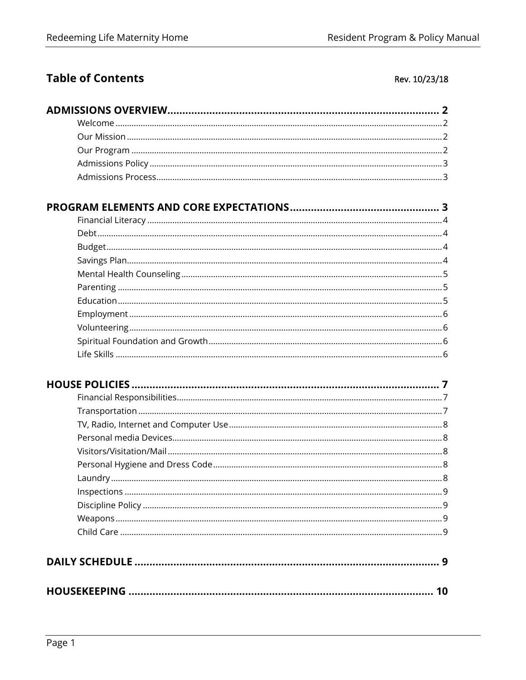### **Table of Contents**

#### Rev. 10/23/18

#### Financial Literacy

| 10 |
|----|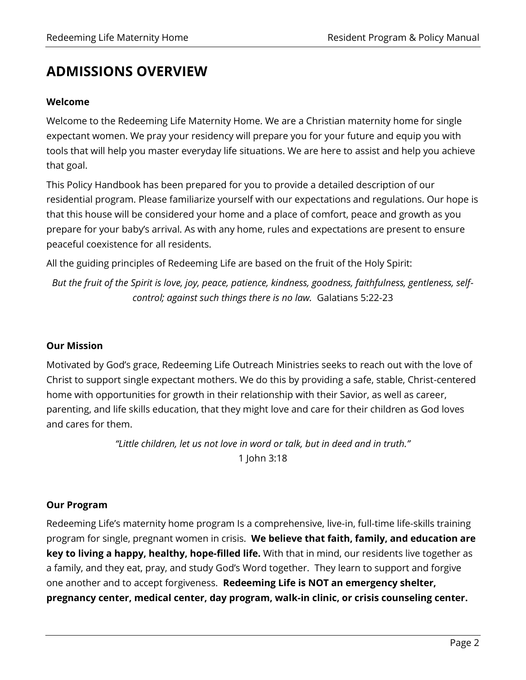## **ADMISSIONS OVERVIEW**

#### **Welcome**

Welcome to the Redeeming Life Maternity Home. We are a Christian maternity home for single expectant women. We pray your residency will prepare you for your future and equip you with tools that will help you master everyday life situations. We are here to assist and help you achieve that goal.

This Policy Handbook has been prepared for you to provide a detailed description of our residential program. Please familiarize yourself with our expectations and regulations. Our hope is that this house will be considered your home and a place of comfort, peace and growth as you prepare for your baby's arrival. As with any home, rules and expectations are present to ensure peaceful coexistence for all residents.

All the guiding principles of Redeeming Life are based on the fruit of the Holy Spirit:

*But the fruit of the Spirit is love, joy, peace, patience, kindness, goodness, faithfulness, gentleness, selfcontrol; against such things there is no law.* Galatians 5:22-23

#### **Our Mission**

Motivated by God's grace, Redeeming Life Outreach Ministries seeks to reach out with the love of Christ to support single expectant mothers. We do this by providing a safe, stable, Christ-centered home with opportunities for growth in their relationship with their Savior, as well as career, parenting, and life skills education, that they might love and care for their children as God loves and cares for them.

> *"Little children, let us not love in word or talk, but in deed and in truth."* 1 John 3:18

#### **Our Program**

Redeeming Life's maternity home program Is a comprehensive, live-in, full-time life-skills training program for single, pregnant women in crisis. **We believe that faith, family, and education are key to living a happy, healthy, hope-filled life.** With that in mind, our residents live together as a family, and they eat, pray, and study God's Word together. They learn to support and forgive one another and to accept forgiveness. **Redeeming Life is NOT an emergency shelter, pregnancy center, medical center, day program, walk-in clinic, or crisis counseling center.**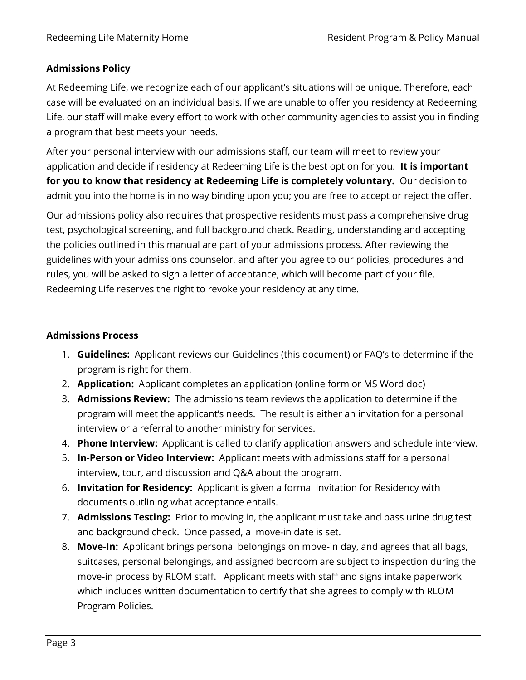#### **Admissions Policy**

At Redeeming Life, we recognize each of our applicant's situations will be unique. Therefore, each case will be evaluated on an individual basis. If we are unable to offer you residency at Redeeming Life, our staff will make every effort to work with other community agencies to assist you in finding a program that best meets your needs.

After your personal interview with our admissions staff, our team will meet to review your application and decide if residency at Redeeming Life is the best option for you. **It is important for you to know that residency at Redeeming Life is completely voluntary.** Our decision to admit you into the home is in no way binding upon you; you are free to accept or reject the offer.

Our admissions policy also requires that prospective residents must pass a comprehensive drug test, psychological screening, and full background check. Reading, understanding and accepting the policies outlined in this manual are part of your admissions process. After reviewing the guidelines with your admissions counselor, and after you agree to our policies, procedures and rules, you will be asked to sign a letter of acceptance, which will become part of your file. Redeeming Life reserves the right to revoke your residency at any time.

#### **Admissions Process**

- 1. **Guidelines:** Applicant reviews our Guidelines (this document) or FAQ's to determine if the program is right for them.
- 2. **Application:** Applicant completes an application (online form or MS Word doc)
- 3. **Admissions Review:** The admissions team reviews the application to determine if the program will meet the applicant's needs. The result is either an invitation for a personal interview or a referral to another ministry for services.
- 4. **Phone Interview:** Applicant is called to clarify application answers and schedule interview.
- 5. **In-Person or Video Interview:** Applicant meets with admissions staff for a personal interview, tour, and discussion and Q&A about the program.
- 6. **Invitation for Residency:** Applicant is given a formal Invitation for Residency with documents outlining what acceptance entails.
- 7. **Admissions Testing:** Prior to moving in, the applicant must take and pass urine drug test and background check. Once passed, a move-in date is set.
- 8. **Move-In:** Applicant brings personal belongings on move-in day, and agrees that all bags, suitcases, personal belongings, and assigned bedroom are subject to inspection during the move-in process by RLOM staff. Applicant meets with staff and signs intake paperwork which includes written documentation to certify that she agrees to comply with RLOM Program Policies.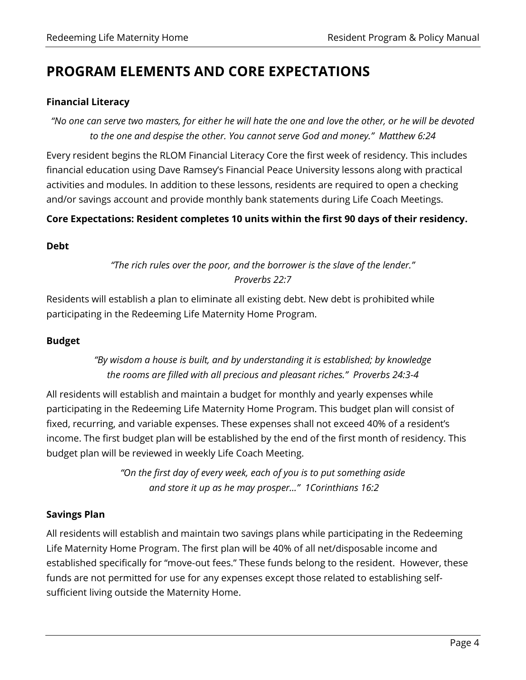## **PROGRAM ELEMENTS AND CORE EXPECTATIONS**

#### **Financial Literacy**

*"No one can serve two masters, for either he will hate the one and love the other, or he will be devoted to the one and despise the other. You cannot serve God and money." Matthew 6:24*

Every resident begins the RLOM Financial Literacy Core the first week of residency. This includes financial education using Dave Ramsey's Financial Peace University lessons along with practical activities and modules. In addition to these lessons, residents are required to open a checking and/or savings account and provide monthly bank statements during Life Coach Meetings.

#### **Core Expectations: Resident completes 10 units within the first 90 days of their residency.**

#### **Debt**

#### *"The rich rules over the poor, and the borrower is the slave of the lender." Proverbs 22:7*

Residents will establish a plan to eliminate all existing debt. New debt is prohibited while participating in the Redeeming Life Maternity Home Program.

#### **Budget**

#### *"By wisdom a house is built, and by understanding it is established; by knowledge the rooms are filled with all precious and pleasant riches." Proverbs 24:3-4*

All residents will establish and maintain a budget for monthly and yearly expenses while participating in the Redeeming Life Maternity Home Program. This budget plan will consist of fixed, recurring, and variable expenses. These expenses shall not exceed 40% of a resident's income. The first budget plan will be established by the end of the first month of residency. This budget plan will be reviewed in weekly Life Coach Meeting.

> *"On the first day of every week, each of you is to put something aside and store it up as he may prosper..." 1Corinthians 16:2*

#### **Savings Plan**

All residents will establish and maintain two savings plans while participating in the Redeeming Life Maternity Home Program. The first plan will be 40% of all net/disposable income and established specifically for "move-out fees." These funds belong to the resident. However, these funds are not permitted for use for any expenses except those related to establishing selfsufficient living outside the Maternity Home.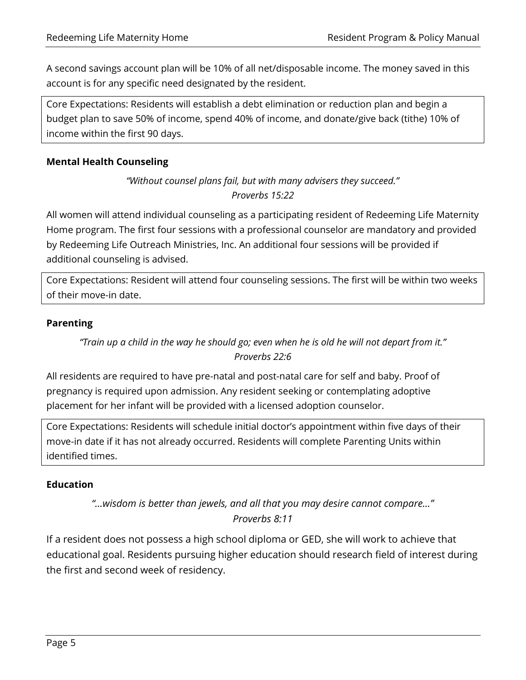A second savings account plan will be 10% of all net/disposable income. The money saved in this account is for any specific need designated by the resident.

Core Expectations: Residents will establish a debt elimination or reduction plan and begin a budget plan to save 50% of income, spend 40% of income, and donate/give back (tithe) 10% of income within the first 90 days.

#### **Mental Health Counseling**

#### *"Without counsel plans fail, but with many advisers they succeed." Proverbs 15:22*

All women will attend individual counseling as a participating resident of Redeeming Life Maternity Home program. The first four sessions with a professional counselor are mandatory and provided by Redeeming Life Outreach Ministries, Inc. An additional four sessions will be provided if additional counseling is advised.

Core Expectations: Resident will attend four counseling sessions. The first will be within two weeks of their move-in date.

#### **Parenting**

#### *"Train up a child in the way he should go; even when he is old he will not depart from it." Proverbs 22:6*

All residents are required to have pre-natal and post-natal care for self and baby. Proof of pregnancy is required upon admission. Any resident seeking or contemplating adoptive placement for her infant will be provided with a licensed adoption counselor.

Core Expectations: Residents will schedule initial doctor's appointment within five days of their move-in date if it has not already occurred. Residents will complete Parenting Units within identified times.

#### **Education**

*"…wisdom is better than jewels, and all that you may desire cannot compare…" Proverbs 8:11*

If a resident does not possess a high school diploma or GED, she will work to achieve that educational goal. Residents pursuing higher education should research field of interest during the first and second week of residency.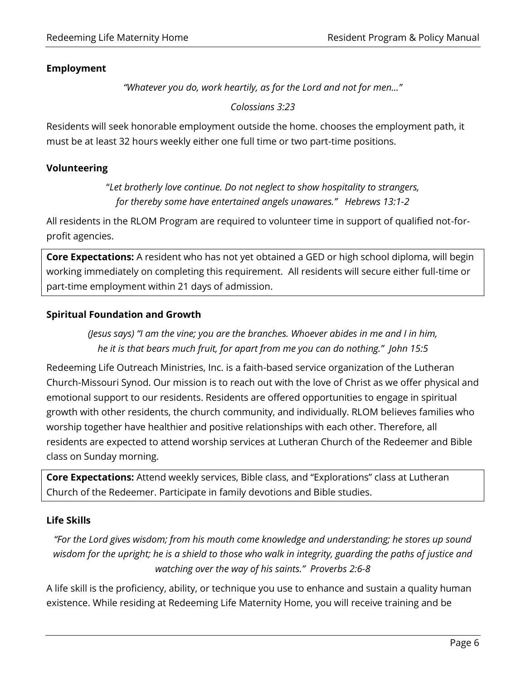#### **Employment**

*"Whatever you do, work heartily, as for the Lord and not for men..."*

*Colossians 3:23*

Residents will seek honorable employment outside the home. chooses the employment path, it must be at least 32 hours weekly either one full time or two part-time positions.

#### **Volunteering**

"*Let brotherly love continue. Do not neglect to show hospitality to strangers, for thereby some have entertained angels unawares." Hebrews 13:1-2*

All residents in the RLOM Program are required to volunteer time in support of qualified not-forprofit agencies.

**Core Expectations:** A resident who has not yet obtained a GED or high school diploma, will begin working immediately on completing this requirement. All residents will secure either full-time or part-time employment within 21 days of admission.

#### **Spiritual Foundation and Growth**

*(Jesus says) "I am the vine; you are the branches. Whoever abides in me and I in him, he it is that bears much fruit, for apart from me you can do nothing." John 15:5*

Redeeming Life Outreach Ministries, Inc. is a faith-based service organization of the Lutheran Church-Missouri Synod. Our mission is to reach out with the love of Christ as we offer physical and emotional support to our residents. Residents are offered opportunities to engage in spiritual growth with other residents, the church community, and individually. RLOM believes families who worship together have healthier and positive relationships with each other. Therefore, all residents are expected to attend worship services at Lutheran Church of the Redeemer and Bible class on Sunday morning.

**Core Expectations:** Attend weekly services, Bible class, and "Explorations" class at Lutheran Church of the Redeemer. Participate in family devotions and Bible studies.

#### **Life Skills**

*"For the Lord gives wisdom; from his mouth come knowledge and understanding; he stores up sound wisdom for the upright; he is a shield to those who walk in integrity, guarding the paths of justice and watching over the way of his saints." Proverbs 2:6-8*

A life skill is the proficiency, ability, or technique you use to enhance and sustain a quality human existence. While residing at Redeeming Life Maternity Home, you will receive training and be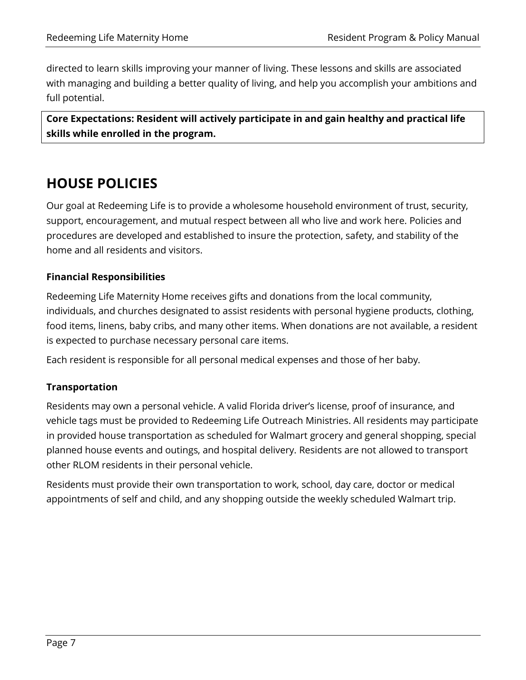directed to learn skills improving your manner of living. These lessons and skills are associated with managing and building a better quality of living, and help you accomplish your ambitions and full potential.

**Core Expectations: Resident will actively participate in and gain healthy and practical life skills while enrolled in the program.** 

## **HOUSE POLICIES**

Our goal at Redeeming Life is to provide a wholesome household environment of trust, security, support, encouragement, and mutual respect between all who live and work here. Policies and procedures are developed and established to insure the protection, safety, and stability of the home and all residents and visitors.

#### **Financial Responsibilities**

Redeeming Life Maternity Home receives gifts and donations from the local community, individuals, and churches designated to assist residents with personal hygiene products, clothing, food items, linens, baby cribs, and many other items. When donations are not available, a resident is expected to purchase necessary personal care items.

Each resident is responsible for all personal medical expenses and those of her baby.

#### **Transportation**

Residents may own a personal vehicle. A valid Florida driver's license, proof of insurance, and vehicle tags must be provided to Redeeming Life Outreach Ministries. All residents may participate in provided house transportation as scheduled for Walmart grocery and general shopping, special planned house events and outings, and hospital delivery. Residents are not allowed to transport other RLOM residents in their personal vehicle.

Residents must provide their own transportation to work, school, day care, doctor or medical appointments of self and child, and any shopping outside the weekly scheduled Walmart trip.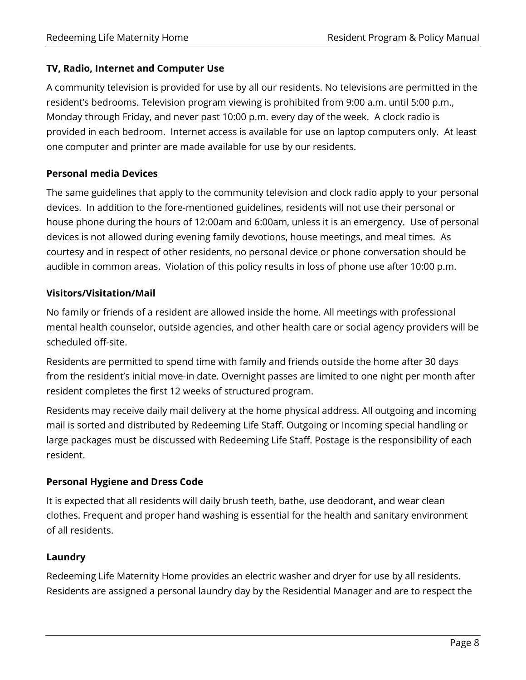#### **TV, Radio, Internet and Computer Use**

A community television is provided for use by all our residents. No televisions are permitted in the resident's bedrooms. Television program viewing is prohibited from 9:00 a.m. until 5:00 p.m., Monday through Friday, and never past 10:00 p.m. every day of the week. A clock radio is provided in each bedroom. Internet access is available for use on laptop computers only. At least one computer and printer are made available for use by our residents.

#### **Personal media Devices**

The same guidelines that apply to the community television and clock radio apply to your personal devices. In addition to the fore-mentioned guidelines, residents will not use their personal or house phone during the hours of 12:00am and 6:00am, unless it is an emergency. Use of personal devices is not allowed during evening family devotions, house meetings, and meal times. As courtesy and in respect of other residents, no personal device or phone conversation should be audible in common areas. Violation of this policy results in loss of phone use after 10:00 p.m.

#### **Visitors/Visitation/Mail**

No family or friends of a resident are allowed inside the home. All meetings with professional mental health counselor, outside agencies, and other health care or social agency providers will be scheduled off-site.

Residents are permitted to spend time with family and friends outside the home after 30 days from the resident's initial move-in date. Overnight passes are limited to one night per month after resident completes the first 12 weeks of structured program.

Residents may receive daily mail delivery at the home physical address. All outgoing and incoming mail is sorted and distributed by Redeeming Life Staff. Outgoing or Incoming special handling or large packages must be discussed with Redeeming Life Staff. Postage is the responsibility of each resident.

#### **Personal Hygiene and Dress Code**

It is expected that all residents will daily brush teeth, bathe, use deodorant, and wear clean clothes. Frequent and proper hand washing is essential for the health and sanitary environment of all residents.

#### **Laundry**

Redeeming Life Maternity Home provides an electric washer and dryer for use by all residents. Residents are assigned a personal laundry day by the Residential Manager and are to respect the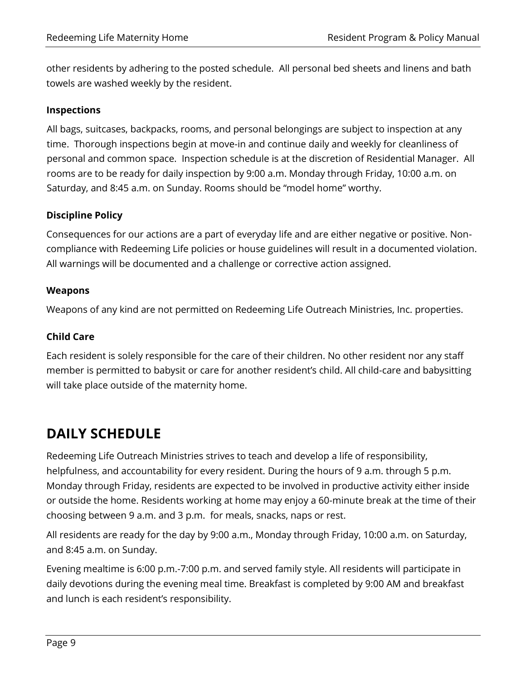other residents by adhering to the posted schedule. All personal bed sheets and linens and bath towels are washed weekly by the resident.

#### **Inspections**

All bags, suitcases, backpacks, rooms, and personal belongings are subject to inspection at any time. Thorough inspections begin at move-in and continue daily and weekly for cleanliness of personal and common space. Inspection schedule is at the discretion of Residential Manager. All rooms are to be ready for daily inspection by 9:00 a.m. Monday through Friday, 10:00 a.m. on Saturday, and 8:45 a.m. on Sunday. Rooms should be "model home" worthy.

#### **Discipline Policy**

Consequences for our actions are a part of everyday life and are either negative or positive. Noncompliance with Redeeming Life policies or house guidelines will result in a documented violation. All warnings will be documented and a challenge or corrective action assigned.

#### **Weapons**

Weapons of any kind are not permitted on Redeeming Life Outreach Ministries, Inc. properties.

#### **Child Care**

Each resident is solely responsible for the care of their children. No other resident nor any staff member is permitted to babysit or care for another resident's child. All child-care and babysitting will take place outside of the maternity home.

### **DAILY SCHEDULE**

Redeeming Life Outreach Ministries strives to teach and develop a life of responsibility, helpfulness, and accountability for every resident. During the hours of 9 a.m. through 5 p.m. Monday through Friday, residents are expected to be involved in productive activity either inside or outside the home. Residents working at home may enjoy a 60-minute break at the time of their choosing between 9 a.m. and 3 p.m. for meals, snacks, naps or rest.

All residents are ready for the day by 9:00 a.m., Monday through Friday, 10:00 a.m. on Saturday, and 8:45 a.m. on Sunday.

Evening mealtime is 6:00 p.m.-7:00 p.m. and served family style. All residents will participate in daily devotions during the evening meal time. Breakfast is completed by 9:00 AM and breakfast and lunch is each resident's responsibility.